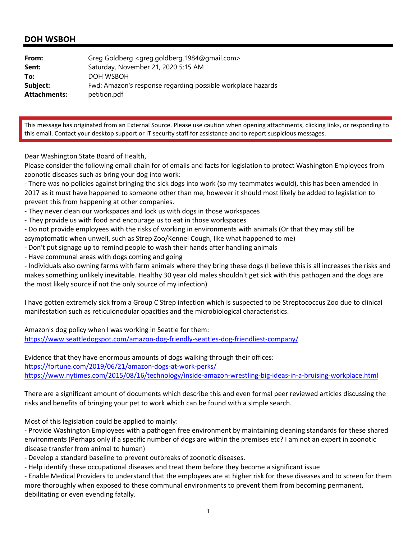| From:               | Greg Goldberg <greg.goldberg.1984@gmail.com></greg.goldberg.1984@gmail.com> |
|---------------------|-----------------------------------------------------------------------------|
| Sent:               | Saturday, November 21, 2020 5:15 AM                                         |
| To:                 | DOH WSBOH                                                                   |
| Subject:            | Fwd: Amazon's response regarding possible workplace hazards                 |
| <b>Attachments:</b> | petition.pdf                                                                |

This message has originated from an External Source. Please use caution when opening attachments, clicking links, or responding to this email. Contact your desktop support or IT security staff for assistance and to report suspicious messages.

Dear Washington State Board of Health,

Please consider the following email chain for of emails and facts for legislation to protect Washington Employees from zoonotic diseases such as bring your dog into work:

‐ There was no policies against bringing the sick dogs into work (so my teammates would), this has been amended in 2017 as it must have happened to someone other than me, however it should most likely be added to legislation to prevent this from happening at other companies.

- ‐ They never clean our workspaces and lock us with dogs in those workspaces
- ‐ They provide us with food and encourage us to eat in those workspaces
- ‐ Do not provide employees with the risks of working in environments with animals (Or that they may still be asymptomatic when unwell, such as Strep Zoo/Kennel Cough, like what happened to me)
- ‐ Don't put signage up to remind people to wash their hands after handling animals
- ‐ Have communal areas with dogs coming and going

‐ Individuals also owning farms with farm animals where they bring these dogs (I believe this is all increases the risks and makes something unlikely inevitable. Healthy 30 year old males shouldn't get sick with this pathogen and the dogs are the most likely source if not the only source of my infection)

I have gotten extremely sick from a Group C Strep infection which is suspected to be Streptococcus Zoo due to clinical manifestation such as reticulonodular opacities and the microbiological characteristics.

Amazon's dog policy when I was working in Seattle for them: https://www.seattledogspot.com/amazon-dog-friendly-seattles-dog-friendliest-company/

Evidence that they have enormous amounts of dogs walking through their offices: https://fortune.com/2019/06/21/amazon‐dogs‐at‐work‐perks/ https://www.nytimes.com/2015/08/16/technology/inside‐amazon‐wrestling‐big‐ideas‐in‐a‐bruising‐workplace.html

There are a significant amount of documents which describe this and even formal peer reviewed articles discussing the risks and benefits of bringing your pet to work which can be found with a simple search.

Most of this legislation could be applied to mainly:

‐ Provide Washington Employees with a pathogen free environment by maintaining cleaning standards for these shared environments (Perhaps only if a specific number of dogs are within the premises etc? I am not an expert in zoonotic disease transfer from animal to human)

‐ Develop a standard baseline to prevent outbreaks of zoonotic diseases.

‐ Help identify these occupational diseases and treat them before they become a significant issue

‐ Enable Medical Providers to understand that the employees are at higher risk for these diseases and to screen for them more thoroughly when exposed to these communal environments to prevent them from becoming permanent, debilitating or even evending fatally.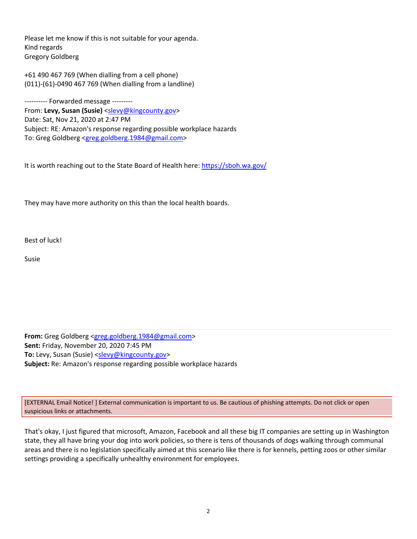Please let me know if this is not suitable for your agenda. Kind regards Gregory Goldberg

+61 490 467 769 (When dialling from a cell phone) (011)‐(61)‐0490 467 769 (When dialling from a landline)

--------- Forwarded message ---------From: **Levy, Susan (Susie)** <slevy@kingcounty.gov> Date: Sat, Nov 21, 2020 at 2:47 PM Subject: RE: Amazon's response regarding possible workplace hazards To: Greg Goldberg <greg.goldberg.1984@gmail.com>

It is worth reaching out to the State Board of Health here: https://sboh.wa.gov/

They may have more authority on this than the local health boards.

Best of luck!

Susie

**From:** Greg Goldberg <greg.goldberg.1984@gmail.com> **Sent:** Friday, November 20, 2020 7:45 PM To: Levy, Susan (Susie) <slevy@kingcounty.gov> **Subject:** Re: Amazon's response regarding possible workplace hazards

[EXTERNAL Email Notice! ] External communication is important to us. Be cautious of phishing attempts. Do not click or open suspicious links or attachments.

That's okay, I just figured that microsoft, Amazon, Facebook and all these big IT companies are setting up in Washington state, they all have bring your dog into work policies, so there is tens of thousands of dogs walking through communal areas and there is no legislation specifically aimed at this scenario like there is for kennels, petting zoos or other similar settings providing a specifically unhealthy environment for employees.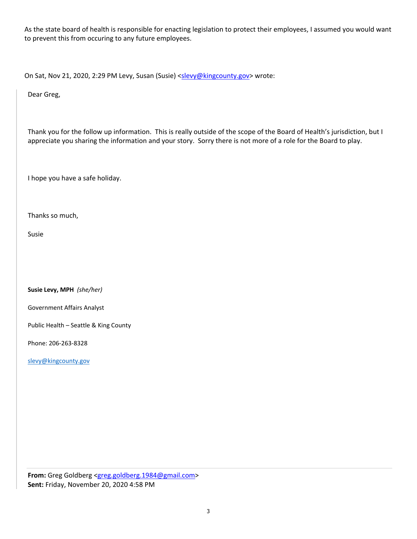As the state board of health is responsible for enacting legislation to protect their employees, I assumed you would want to prevent this from occuring to any future employees.

On Sat, Nov 21, 2020, 2:29 PM Levy, Susan (Susie) <slevy@kingcounty.gov> wrote:

Dear Greg,

Thank you for the follow up information. This is really outside of the scope of the Board of Health's jurisdiction, but I appreciate you sharing the information and your story. Sorry there is not more of a role for the Board to play.

I hope you have a safe holiday.

Thanks so much,

Susie

**Susie Levy, MPH** *(she/her)*

Government Affairs Analyst

Public Health – Seattle & King County

Phone: 206‐263‐8328

slevy@kingcounty.gov

**From:** Greg Goldberg <greg.goldberg.1984@gmail.com> **Sent:** Friday, November 20, 2020 4:58 PM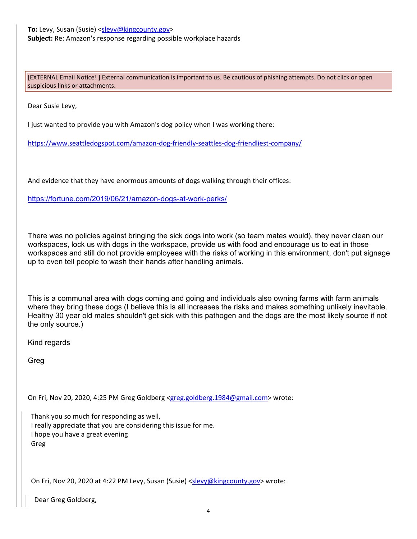[EXTERNAL Email Notice! ] External communication is important to us. Be cautious of phishing attempts. Do not click or open suspicious links or attachments.

Dear Susie Levy,

I just wanted to provide you with Amazon's dog policy when I was working there:

https://www.seattledogspot.com/amazon‐dog‐friendly‐seattles‐dog‐friendliest‐company/

And evidence that they have enormous amounts of dogs walking through their offices:

https://fortune.com/2019/06/21/amazon-dogs-at-work-perks/

There was no policies against bringing the sick dogs into work (so team mates would), they never clean our workspaces, lock us with dogs in the workspace, provide us with food and encourage us to eat in those workspaces and still do not provide employees with the risks of working in this environment, don't put signage up to even tell people to wash their hands after handling animals.

This is a communal area with dogs coming and going and individuals also owning farms with farm animals where they bring these dogs (I believe this is all increases the risks and makes something unlikely inevitable. Healthy 30 year old males shouldn't get sick with this pathogen and the dogs are the most likely source if not the only source.)

Kind regards

Greg

On Fri, Nov 20, 2020, 4:25 PM Greg Goldberg <greg.goldberg.1984@gmail.com> wrote:

Thank you so much for responding as well, I really appreciate that you are considering this issue for me. I hope you have a great evening Greg

On Fri, Nov 20, 2020 at 4:22 PM Levy, Susan (Susie) <slevy@kingcounty.gov> wrote:

Dear Greg Goldberg,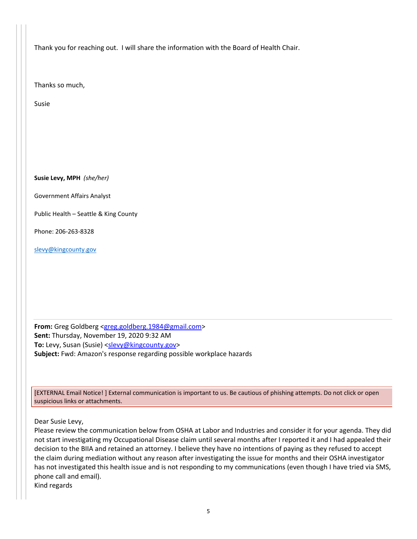Thank you for reaching out. I will share the information with the Board of Health Chair.

Thanks so much,

Susie

**Susie Levy, MPH** *(she/her)*

Government Affairs Analyst

Public Health – Seattle & King County

Phone: 206‐263‐8328

slevy@kingcounty.gov

**From:** Greg Goldberg <greg.goldberg.1984@gmail.com> **Sent:** Thursday, November 19, 2020 9:32 AM To: Levy, Susan (Susie) <slevy@kingcounty.gov> **Subject:** Fwd: Amazon's response regarding possible workplace hazards

[EXTERNAL Email Notice! ] External communication is important to us. Be cautious of phishing attempts. Do not click or open suspicious links or attachments.

Dear Susie Levy,

Please review the communication below from OSHA at Labor and Industries and consider it for your agenda. They did not start investigating my Occupational Disease claim until several months after I reported it and I had appealed their decision to the BIIA and retained an attorney. I believe they have no intentions of paying as they refused to accept the claim during mediation without any reason after investigating the issue for months and their OSHA investigator has not investigated this health issue and is not responding to my communications (even though I have tried via SMS, phone call and email).

Kind regards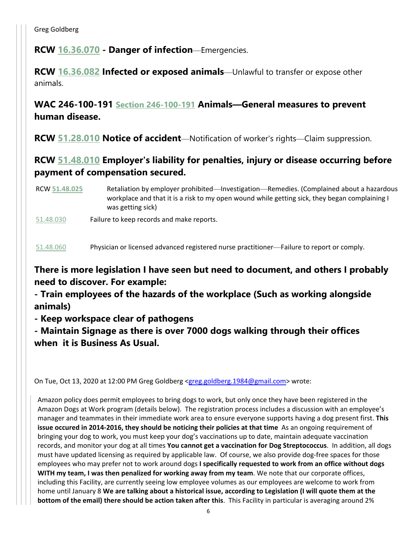Greg Goldberg

**RCW 16.36.070 - Danger of infection**—Emergencies.

**RCW 16.36.082 Infected or exposed animals**—Unlawful to transfer or expose other animals.

**WAC 246-100-191 Section 246-100-191 Animals—General measures to prevent human disease.**

**RCW 51.28.010 Notice of accident**—Notification of worker's rights—Claim suppression.

# **RCW 51.48.010 Employer's liability for penalties, injury or disease occurring before payment of compensation secured.**

- RCW **51.48.025** Retaliation by employer prohibited—Investigation—Remedies. (Complained about a hazardous workplace and that it is a risk to my open wound while getting sick, they began complaining I was getting sick)
- 51.48.030 Failure to keep records and make reports.

51.48.060 Physician or licensed advanced registered nurse practitioner—Failure to report or comply.

# **There is more legislation I have seen but need to document, and others I probably need to discover. For example:**

**- Train employees of the hazards of the workplace (Such as working alongside animals)** 

**- Keep workspace clear of pathogens** 

**- Maintain Signage as there is over 7000 dogs walking through their offices when it is Business As Usual.**

On Tue, Oct 13, 2020 at 12:00 PM Greg Goldberg <greg.goldberg.1984@gmail.com> wrote:

Amazon policy does permit employees to bring dogs to work, but only once they have been registered in the Amazon Dogs at Work program (details below). The registration process includes a discussion with an employee's manager and teammates in their immediate work area to ensure everyone supports having a dog present first. **This issue occured in 2014‐2016, they should be noticing their policies at that time** As an ongoing requirement of bringing your dog to work, you must keep your dog's vaccinations up to date, maintain adequate vaccination records, and monitor your dog at all times **You cannot get a vaccination for Dog Streptococcus**. In addition, all dogs must have updated licensing as required by applicable law. Of course, we also provide dog‐free spaces for those employees who may prefer not to work around dogs **I specifically requested to work from an office without dogs WITH my team, I was then penalized for working away from my team**. We note that our corporate offices, including this Facility, are currently seeing low employee volumes as our employees are welcome to work from home until January 8 **We are talking about a historical issue, according to Legislation (I will quote them at the bottom of the email) there should be action taken after this**. This Facility in particular is averaging around 2%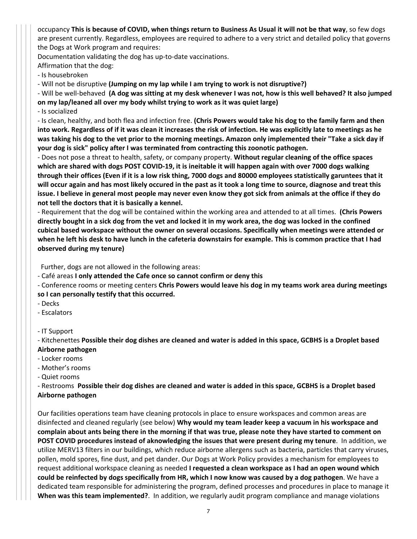occupancy This is because of COVID, when things return to Business As Usual it will not be that way, so few dogs are present currently. Regardless, employees are required to adhere to a very strict and detailed policy that governs the Dogs at Work program and requires:

Documentation validating the dog has up‐to‐date vaccinations.

Affirmation that the dog:

‐ Is housebroken

‐ Will not be disruptive **(Jumping on my lap while I am trying to work is not disruptive?)**

- Will be well-behaved (A dog was sitting at my desk whenever I was not, how is this well behaved? It also jumped **on my lap/leaned all over my body whilst trying to work as it was quiet large)**

‐ Is socialized

‐ Is clean, healthy, and both flea and infection free. **(Chris Powers would take his dog to the family farm and then** into work. Regardless of if it was clean it increases the risk of infection. He was explicitly late to meetings as he was taking his dog to the vet prior to the morning meetings. Amazon only implemented their "Take a sick day if **your dog is sick" policy after I was terminated from contracting this zoonotic pathogen.**

‐ Does not pose a threat to health, safety, or company property. **Without regular cleaning of the office spaces** which are shared with dogs POST COVID-19, it is ineitable it will happen again with over 7000 dogs walking through their offices (Even if it is a low risk thing, 7000 dogs and 80000 employees statistically garuntees that it will occur again and has most likely occured in the past as it took a long time to source, diagnose and treat this issue. I believe in general most people may never even know they got sick from animals at the office if they do **not tell the doctors that it is basically a kennel.**

‐ Requirement that the dog will be contained within the working area and attended to at all times. **(Chris Powers** directly bought in a sick dog from the vet and locked it in my work area, the dog was locked in the confined **cubical based workspace without the owner on several occasions. Specifically when meetings were attended or** when he left his desk to have lunch in the cafeteria downstairs for example. This is common practice that I had **observed during my tenure)** 

Further, dogs are not allowed in the following areas:

‐ Café areas **I only attended the Cafe once so cannot confirm or deny this**

‐ Conference rooms or meeting centers **Chris Powers would leave his dog in my teams work area during meetings so I can personally testify that this occurred.**

- ‐ Decks
- ‐ Escalators
- ‐ IT Support

- Kitchenettes Possible their dog dishes are cleaned and water is added in this space, GCBHS is a Droplet based **Airborne pathogen**

- ‐ Locker rooms
- ‐ Mother's rooms
- ‐ Quiet rooms

- Restrooms Possible their dog dishes are cleaned and water is added in this space, GCBHS is a Droplet based **Airborne pathogen** 

Our facilities operations team have cleaning protocols in place to ensure workspaces and common areas are disinfected and cleaned regularly (see below) **Why would my team leader keep a vacuum in his workspace and** complain about ants being there in the morning if that was true, please note they have started to comment on **POST COVID procedures instead of aknowledging the issues that were present during my tenure**. In addition, we utilize MERV13 filters in our buildings, which reduce airborne allergens such as bacteria, particles that carry viruses, pollen, mold spores, fine dust, and pet dander. Our Dogs at Work Policy provides a mechanism for employees to request additional workspace cleaning as needed **I requested a clean workspace as I had an open wound which** could be reinfected by dogs specifically from HR, which I now know was caused by a dog pathogen. We have a dedicated team responsible for administering the program, defined processes and procedures in place to manage it **When was this team implemented?**. In addition, we regularly audit program compliance and manage violations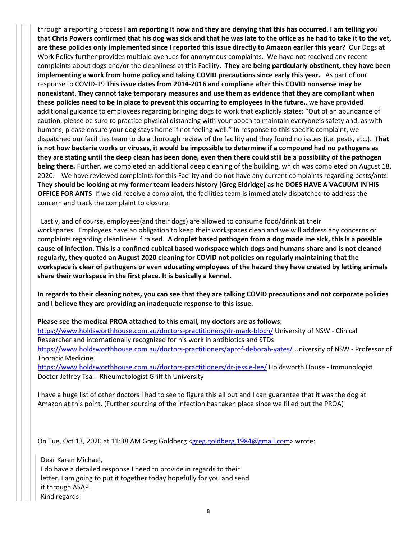through a reporting process I am reporting it now and they are denying that this has occurred. I am telling you that Chris Powers confirmed that his dog was sick and that he was late to the office as he had to take it to the vet, are these policies only implemented since I reported this issue directly to Amazon earlier this year? Our Dogs at Work Policy further provides multiple avenues for anonymous complaints. We have not received any recent complaints about dogs and/or the cleanliness at this Facility. **They are being particularly obstinent, they have been implementing a work from home policy and taking COVID precautions since early this year.** As part of our response to COVID‐19 **This issue dates from 2014‐2016 and compliane after this COVID nonsense may be nonexistant. They cannot take temporary measures and use them as evidence that they are compliant when these policies need to be in place to prevent this occurring to employees in the future.**, we have provided additional guidance to employees regarding bringing dogs to work that explicitly states: "Out of an abundance of caution, please be sure to practice physical distancing with your pooch to maintain everyone's safety and, as with humans, please ensure your dog stays home if not feeling well." In response to this specific complaint, we dispatched our facilities team to do a thorough review of the facility and they found no issues (i.e. pests, etc.). **That** is not how bacteria works or viruses, it would be impossible to determine if a compound had no pathogens as they are stating until the deep clean has been done, even then there could still be a possibility of the pathogen **being there.** Further, we completed an additional deep cleaning of the building, which was completed on August 18, 2020. We have reviewed complaints for this Facility and do not have any current complaints regarding pests/ants. They should be looking at my former team leaders history (Greg Eldridge) as he DOES HAVE A VACUUM IN HIS **OFFICE FOR ANTS** If we did receive a complaint, the facilities team is immediately dispatched to address the concern and track the complaint to closure.

 Lastly, and of course, employees(and their dogs) are allowed to consume food/drink at their workspaces. Employees have an obligation to keep their workspaces clean and we will address any concerns or complaints regarding cleanliness if raised. **A droplet based pathogen from a dog made me sick, this is a possible** cause of infection. This is a confined cubical based workspace which dogs and humans share and is not cleaned **regularly, they quoted an August 2020 cleaning for COVID not policies on regularly maintaining that the** workspace is clear of pathogens or even educating employees of the hazard they have created by letting animals **share their workspace in the first place. It is basically a kennel.**

In regards to their cleaning notes, you can see that they are talking COVID precautions and not corporate policies **and I believe they are providing an inadequate response to this issue.**

**Please see the medical PROA attached to this email, my doctors are as follows:** https://www.holdsworthhouse.com.au/doctors-practitioners/dr-mark-bloch/ University of NSW - Clinical

Researcher and internationally recognized for his work in antibiotics and STDs https://www.holdsworthhouse.com.au/doctors-practitioners/aprof-deborah-yates/ University of NSW - Professor of Thoracic Medicine

https://www.holdsworthhouse.com.au/doctors-practitioners/dr-jessie-lee/ Holdsworth House - Immunologist Doctor Jeffrey Tsai ‐ Rheumatologist Griffith University

I have a huge list of other doctors I had to see to figure this all out and I can guarantee that it was the dog at Amazon at this point. (Further sourcing of the infection has taken place since we filled out the PROA)

On Tue, Oct 13, 2020 at 11:38 AM Greg Goldberg <greg.goldberg.1984@gmail.com> wrote:

Dear Karen Michael, I do have a detailed response I need to provide in regards to their letter. I am going to put it together today hopefully for you and send it through ASAP. Kind regards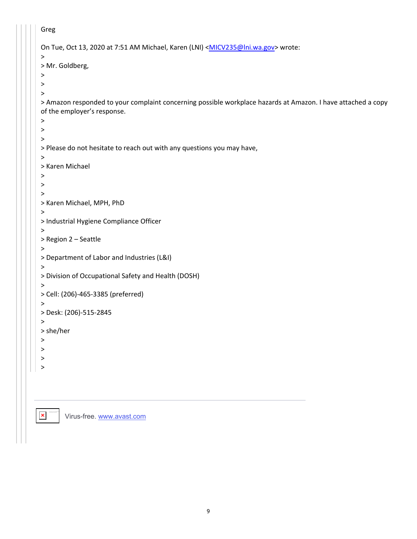```
Greg
On Tue, Oct 13, 2020 at 7:51 AM Michael, Karen (LNI) <MICV235@lni.wa.gov> wrote:
>
> Mr. Goldberg,
>
\geq>
> Amazon responded to your complaint concerning possible workplace hazards at Amazon. I have attached a copy
of the employer's response.
>
\geq\geq> Please do not hesitate to reach out with any questions you may have,
>
> Karen Michael
>
\geq>
> Karen Michael, MPH, PhD
\,>> Industrial Hygiene Compliance Officer
>
> Region 2 – Seattle
>
> Department of Labor and Industries (L&I)
>
> Division of Occupational Safety and Health (DOSH)
>
> Cell: (206)‐465‐3385 (preferred)
\,>> Desk: (206)‐515‐2845
>
> she/her
\geq\,>>
>
```
 $\pmb{\times}$ To help protect your privacy, Microsoft Office prevented

Virus-free. www.avast.com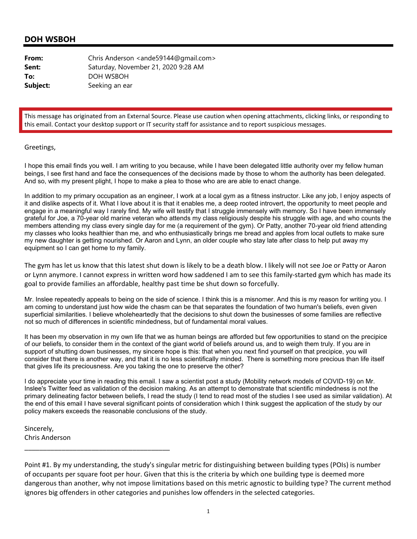| From:    | Chris Anderson <ande59144@qmail.com></ande59144@qmail.com> |
|----------|------------------------------------------------------------|
| Sent:    | Saturday, November 21, 2020 9:28 AM                        |
| To:      | DOH WSBOH                                                  |
| Subject: | Seeking an ear                                             |

This message has originated from an External Source. Please use caution when opening attachments, clicking links, or responding to this email. Contact your desktop support or IT security staff for assistance and to report suspicious messages.

#### Greetings,

I hope this email finds you well. I am writing to you because, while I have been delegated little authority over my fellow human beings, I see first hand and face the consequences of the decisions made by those to whom the authority has been delegated. And so, with my present plight, I hope to make a plea to those who are are able to enact change.

In addition to my primary occupation as an engineer, I work at a local gym as a fitness instructor. Like any job, I enjoy aspects of it and dislike aspects of it. What I love about it is that it enables me, a deep rooted introvert, the opportunity to meet people and engage in a meaningful way I rarely find. My wife will testify that I struggle immensely with memory. So I have been immensely grateful for Joe, a 70-year old marine veteran who attends my class religiously despite his struggle with age, and who counts the members attending my class every single day for me (a requirement of the gym). Or Patty, another 70-year old friend attending my classes who looks healthier than me, and who enthusiastically brings me bread and apples from local outlets to make sure my new daughter is getting nourished. Or Aaron and Lynn, an older couple who stay late after class to help put away my equipment so I can get home to my family.

The gym has let us know that this latest shut down is likely to be a death blow. I likely will not see Joe or Patty or Aaron or Lynn anymore. I cannot express in written word how saddened I am to see this family‐started gym which has made its goal to provide families an affordable, healthy past time be shut down so forcefully.

Mr. Inslee repeatedly appeals to being on the side of science. I think this is a misnomer. And this is my reason for writing you. I am coming to understand just how wide the chasm can be that separates the foundation of two human's beliefs, even given superficial similarities. I believe wholeheartedly that the decisions to shut down the businesses of some families are reflective not so much of differences in scientific mindedness, but of fundamental moral values.

It has been my observation in my own life that we as human beings are afforded but few opportunities to stand on the precipice of our beliefs, to consider them in the context of the giant world of beliefs around us, and to weigh them truly. If you are in support of shutting down businesses, my sincere hope is this: that when you next find yourself on that precipice, you will consider that there is another way, and that it is no less scientifically minded. There is something more precious than life itself that gives life its preciousness. Are you taking the one to preserve the other?

I do appreciate your time in reading this email. I saw a scientist post a study (Mobility network models of COVID-19) on Mr. Inslee's Twitter feed as validation of the decision making. As an attempt to demonstrate that scientific mindedness is not the primary delineating factor between beliefs, I read the study (I tend to read most of the studies I see used as similar validation). At the end of this email I have several significant points of consideration which I think suggest the application of the study by our policy makers exceeds the reasonable conclusions of the study.

Sincerely, Chris Anderson

\_\_\_\_\_\_\_\_\_\_\_\_\_\_\_\_\_\_\_\_\_\_\_\_\_\_\_\_\_\_\_\_\_\_\_\_\_\_\_

Point #1. By my understanding, the study's singular metric for distinguishing between building types (POIs) is number of occupants per square foot per hour. Given that this is the criteria by which one building type is deemed more dangerous than another, why not impose limitations based on this metric agnostic to building type? The current method ignores big offenders in other categories and punishes low offenders in the selected categories.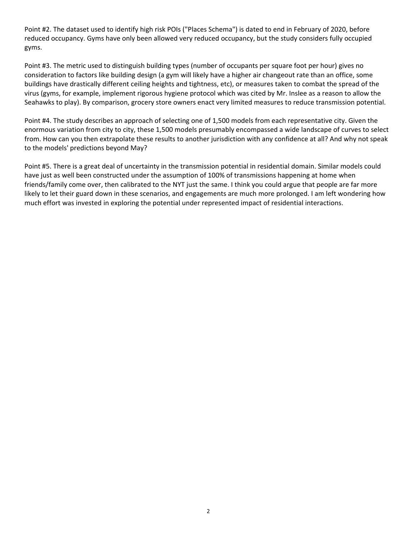Point #2. The dataset used to identify high risk POIs ("Places Schema") is dated to end in February of 2020, before reduced occupancy. Gyms have only been allowed very reduced occupancy, but the study considers fully occupied gyms.

Point #3. The metric used to distinguish building types (number of occupants per square foot per hour) gives no consideration to factors like building design (a gym will likely have a higher air changeout rate than an office, some buildings have drastically different ceiling heights and tightness, etc), or measures taken to combat the spread of the virus (gyms, for example, implement rigorous hygiene protocol which was cited by Mr. Inslee as a reason to allow the Seahawks to play). By comparison, grocery store owners enact very limited measures to reduce transmission potential.

Point #4. The study describes an approach of selecting one of 1,500 models from each representative city. Given the enormous variation from city to city, these 1,500 models presumably encompassed a wide landscape of curves to select from. How can you then extrapolate these results to another jurisdiction with any confidence at all? And why not speak to the models' predictions beyond May?

Point #5. There is a great deal of uncertainty in the transmission potential in residential domain. Similar models could have just as well been constructed under the assumption of 100% of transmissions happening at home when friends/family come over, then calibrated to the NYT just the same. I think you could argue that people are far more likely to let their guard down in these scenarios, and engagements are much more prolonged. I am left wondering how much effort was invested in exploring the potential under represented impact of residential interactions.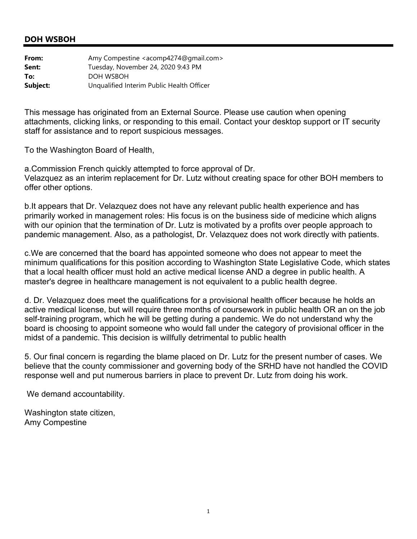| From:    | Amy Compestine <acomp4274@gmail.com></acomp4274@gmail.com> |
|----------|------------------------------------------------------------|
| Sent:    | Tuesday, November 24, 2020 9:43 PM                         |
| To:      | DOH WSBOH                                                  |
| Subject: | Unqualified Interim Public Health Officer                  |

This message has originated from an External Source. Please use caution when opening attachments, clicking links, or responding to this email. Contact your desktop support or IT security staff for assistance and to report suspicious messages.

To the Washington Board of Health,

a.Commission French quickly attempted to force approval of Dr. Velazquez as an interim replacement for Dr. Lutz without creating space for other BOH members to offer other options.

b.It appears that Dr. Velazquez does not have any relevant public health experience and has primarily worked in management roles: His focus is on the business side of medicine which aligns with our opinion that the termination of Dr. Lutz is motivated by a profits over people approach to pandemic management. Also, as a pathologist, Dr. Velazquez does not work directly with patients.

c.We are concerned that the board has appointed someone who does not appear to meet the minimum qualifications for this position according to Washington State Legislative Code, which states that a local health officer must hold an active medical license AND a degree in public health. A master's degree in healthcare management is not equivalent to a public health degree.

d. Dr. Velazquez does meet the qualifications for a provisional health officer because he holds an active medical license, but will require three months of coursework in public health OR an on the job self-training program, which he will be getting during a pandemic. We do not understand why the board is choosing to appoint someone who would fall under the category of provisional officer in the midst of a pandemic. This decision is willfully detrimental to public health

5. Our final concern is regarding the blame placed on Dr. Lutz for the present number of cases. We believe that the county commissioner and governing body of the SRHD have not handled the COVID response well and put numerous barriers in place to prevent Dr. Lutz from doing his work.

We demand accountability.

Washington state citizen, Amy Compestine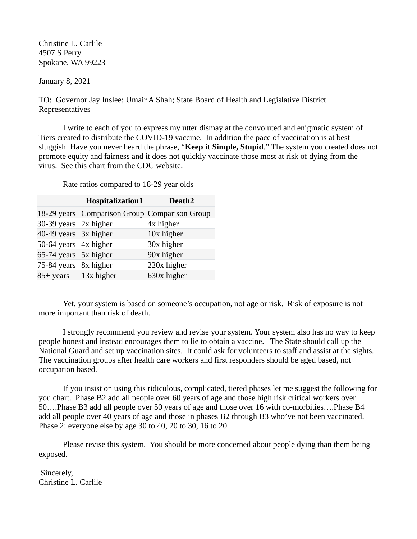Christine L. Carlile 4507 S Perry Spokane, WA 99223

January 8, 2021

TO: Governor Jay Inslee; Umair A Shah; State Board of Health and Legislative District Representatives

I write to each of you to express my utter dismay at the convoluted and enigmatic system of Tiers created to distribute the COVID-19 vaccine. In addition the pace of vaccination is at best sluggish. Have you never heard the phrase, "**Keep it Simple, Stupid**." The system you created does not promote equity and fairness and it does not quickly vaccinate those most at risk of dying from the virus. See this chart from the CDC website.

**Hospitalizatio[n1](https://www.cdc.gov/coronavirus/2019-ncov/need-extra-precautions/older-adults.html#footnote01) Deat[h2](https://www.cdc.gov/coronavirus/2019-ncov/need-extra-precautions/older-adults.html#footnote02)** 18-29 years Comparison Group Comparison Group  $30-39$  years  $2x$  higher  $4x$  higher 40-49 years 3x higher 10x higher 50-64 years 4x higher 30x higher  $65-74$  years  $5x$  higher  $90x$  higher 75-84 years 8x higher 220x higher 85+ years 13x higher 630x higher

Rate ratios compared to 18-29 year olds

Yet, your system is based on someone's occupation, not age or risk. Risk of exposure is not more important than risk of death.

I strongly recommend you review and revise your system. Your system also has no way to keep people honest and instead encourages them to lie to obtain a vaccine. The State should call up the National Guard and set up vaccination sites. It could ask for volunteers to staff and assist at the sights. The vaccination groups after health care workers and first responders should be aged based, not occupation based.

If you insist on using this ridiculous, complicated, tiered phases let me suggest the following for you chart. Phase B2 add all people over 60 years of age and those high risk critical workers over 50….Phase B3 add all people over 50 years of age and those over 16 with co-morbities….Phase B4 add all people over 40 years of age and those in phases B2 through B3 who've not been vaccinated. Phase 2: everyone else by age 30 to 40, 20 to 30, 16 to 20.

Please revise this system. You should be more concerned about people dying than them being exposed.

 Sincerely, Christine L. Carlile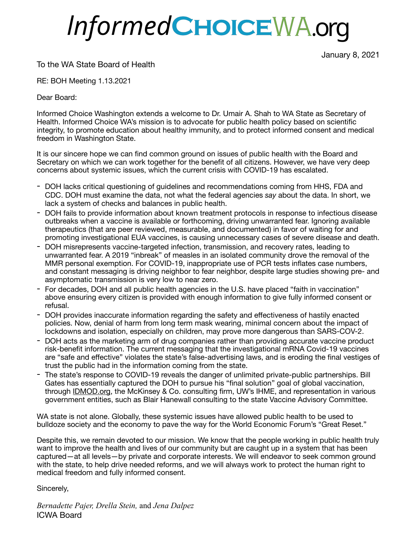# InformedCHOICEWA.org

January 8, 2021

To the WA State Board of Health

RE: BOH Meeting 1.13.2021

Dear Board:

Informed Choice Washington extends a welcome to Dr. Umair A. Shah to WA State as Secretary of Health. Informed Choice WA's mission is to advocate for public health policy based on scientific integrity, to promote education about healthy immunity, and to protect informed consent and medical freedom in Washington State.

It is our sincere hope we can find common ground on issues of public health with the Board and Secretary on which we can work together for the benefit of all citizens. However, we have very deep concerns about systemic issues, which the current crisis with COVID-19 has escalated.

- DOH lacks critical questioning of guidelines and recommendations coming from HHS, FDA and CDC. DOH must examine the data, not what the federal agencies *say* about the data. In short, we lack a system of checks and balances in public health.
- DOH fails to provide information about known treatment protocols in response to infectious disease outbreaks when a vaccine is available or forthcoming, driving unwarranted fear. Ignoring available therapeutics (that are peer reviewed, measurable, and documented) in favor of waiting for and promoting investigational EUA vaccines, is causing unnecessary cases of severe disease and death.
- DOH misrepresents vaccine-targeted infection, transmission, and recovery rates, leading to unwarranted fear. A 2019 "inbreak" of measles in an isolated community drove the removal of the MMR personal exemption. For COVID-19, inappropriate use of PCR tests inflates case numbers, and constant messaging is driving neighbor to fear neighbor, despite large studies showing pre- and asymptomatic transmission is very low to near zero.
- For decades, DOH and all public health agencies in the U.S. have placed "faith in vaccination" above ensuring every citizen is provided with enough information to give fully informed consent or refusal.
- DOH provides inaccurate information regarding the safety and effectiveness of hastily enacted policies. Now, denial of harm from long term mask wearing, minimal concern about the impact of lockdowns and isolation, especially on children, may prove more dangerous than SARS-COV-2.
- DOH acts as the marketing arm of drug companies rather than providing accurate vaccine product risk-benefit information. The current messaging that the investigational mRNA Covid-19 vaccines are "safe and effective" violates the state's false-advertising laws, and is eroding the final vestiges of trust the public had in the information coming from the state.
- The state's response to COVID-19 reveals the danger of unlimited private-public partnerships. Bill Gates has essentially captured the DOH to pursue his "final solution" goal of global vaccination, through [IDMOD.org](http://IDMOD.org), the McKinsey & Co. consulting firm, UW's IHME, and representation in various government entities, such as Blair Hanewall consulting to the state Vaccine Advisory Committee.

WA state is not alone. Globally, these systemic issues have allowed public health to be used to bulldoze society and the economy to pave the way for the World Economic Forum's "Great Reset."

Despite this, we remain devoted to our mission. We know that the people working in public health truly want to improve the health and lives of our community but are caught up in a system that has been captured—at all levels—by private and corporate interests. We will endeavor to seek common ground with the state, to help drive needed reforms, and we will always work to protect the human right to medical freedom and fully informed consent.

Sincerely,

*Bernadette Pajer, Drella Stein,* and *Jena Dalpez*  ICWA Board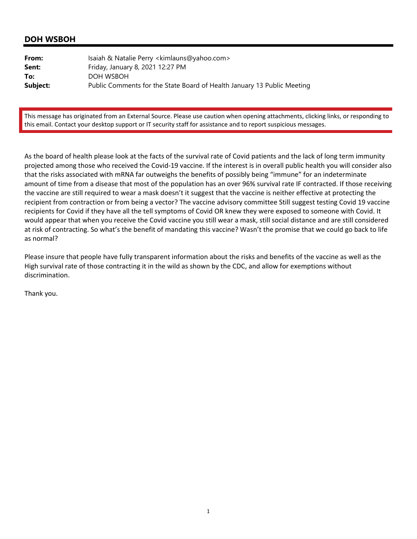| From:    | Isaiah & Natalie Perry <kimlauns@yahoo.com></kimlauns@yahoo.com>        |
|----------|-------------------------------------------------------------------------|
| Sent:    | Friday, January 8, 2021 12:27 PM                                        |
| To:      | DOH WSBOH                                                               |
| Subject: | Public Comments for the State Board of Health January 13 Public Meeting |

This message has originated from an External Source. Please use caution when opening attachments, clicking links, or responding to this email. Contact your desktop support or IT security staff for assistance and to report suspicious messages.

As the board of health please look at the facts of the survival rate of Covid patients and the lack of long term immunity projected among those who received the Covid‐19 vaccine. If the interest is in overall public health you will consider also that the risks associated with mRNA far outweighs the benefits of possibly being "immune" for an indeterminate amount of time from a disease that most of the population has an over 96% survival rate IF contracted. If those receiving the vaccine are still required to wear a mask doesn't it suggest that the vaccine is neither effective at protecting the recipient from contraction or from being a vector? The vaccine advisory committee Still suggest testing Covid 19 vaccine recipients for Covid if they have all the tell symptoms of Covid OR knew they were exposed to someone with Covid. It would appear that when you receive the Covid vaccine you still wear a mask, still social distance and are still considered at risk of contracting. So what's the benefit of mandating this vaccine? Wasn't the promise that we could go back to life as normal?

Please insure that people have fully transparent information about the risks and benefits of the vaccine as well as the High survival rate of those contracting it in the wild as shown by the CDC, and allow for exemptions without discrimination.

Thank you.